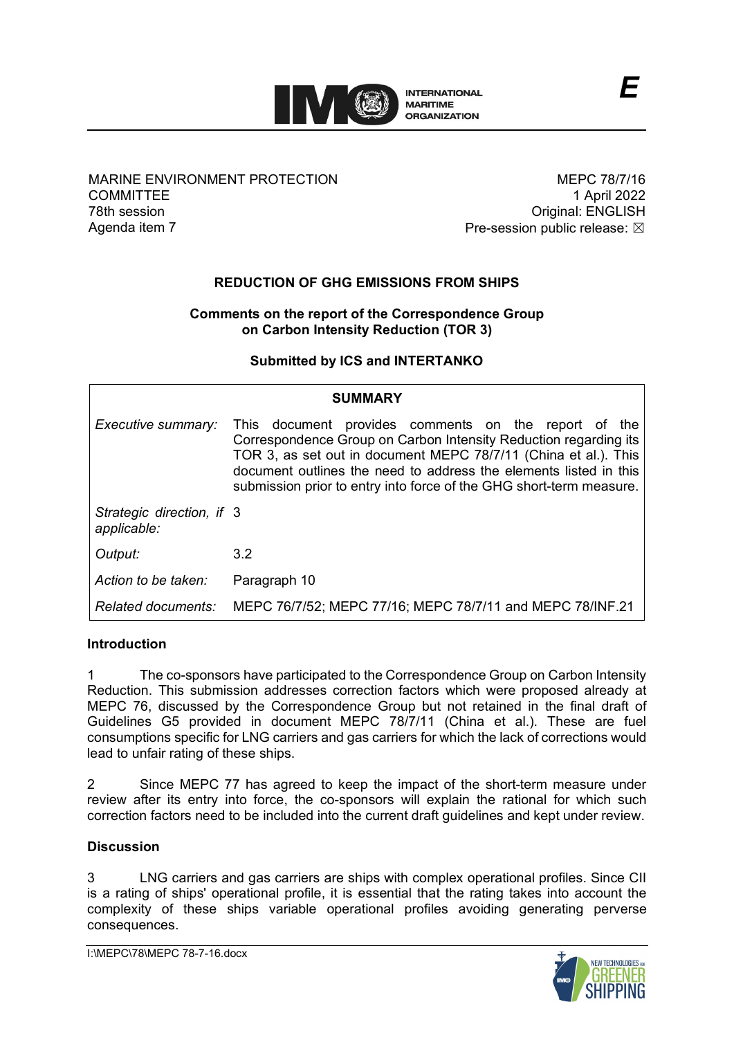

# MARINE ENVIRONMENT PROTECTION **COMMITTEE** 78th session Agenda item 7

MEPC 78/7/16 1 April 2022 Original: ENGLISH Pre-session public release:  $\boxtimes$ 

# **REDUCTION OF GHG EMISSIONS FROM SHIPS**

# **Comments on the report of the Correspondence Group on Carbon Intensity Reduction (TOR 3)**

# **Submitted by ICS and INTERTANKO**

| <b>SUMMARY</b>                           |                                                                                                                                                                                                                                                                                                                                         |
|------------------------------------------|-----------------------------------------------------------------------------------------------------------------------------------------------------------------------------------------------------------------------------------------------------------------------------------------------------------------------------------------|
| Executive summary:                       | This document provides comments on the report of the<br>Correspondence Group on Carbon Intensity Reduction regarding its<br>TOR 3, as set out in document MEPC 78/7/11 (China et al.). This<br>document outlines the need to address the elements listed in this<br>submission prior to entry into force of the GHG short-term measure. |
| Strategic direction, if 3<br>applicable: |                                                                                                                                                                                                                                                                                                                                         |
| Output:                                  | 3.2                                                                                                                                                                                                                                                                                                                                     |
| Action to be taken:                      | Paragraph 10                                                                                                                                                                                                                                                                                                                            |
| Related documents:                       | MEPC 76/7/52; MEPC 77/16; MEPC 78/7/11 and MEPC 78/INF.21                                                                                                                                                                                                                                                                               |

# **Introduction**

1 The co-sponsors have participated to the Correspondence Group on Carbon Intensity Reduction. This submission addresses correction factors which were proposed already at MEPC 76, discussed by the Correspondence Group but not retained in the final draft of Guidelines G5 provided in document MEPC 78/7/11 (China et al.). These are fuel consumptions specific for LNG carriers and gas carriers for which the lack of corrections would lead to unfair rating of these ships.

2 Since MEPC 77 has agreed to keep the impact of the short-term measure under review after its entry into force, the co-sponsors will explain the rational for which such correction factors need to be included into the current draft guidelines and kept under review.

# **Discussion**

3 LNG carriers and gas carriers are ships with complex operational profiles. Since CII is a rating of ships' operational profile, it is essential that the rating takes into account the complexity of these ships variable operational profiles avoiding generating perverse consequences.

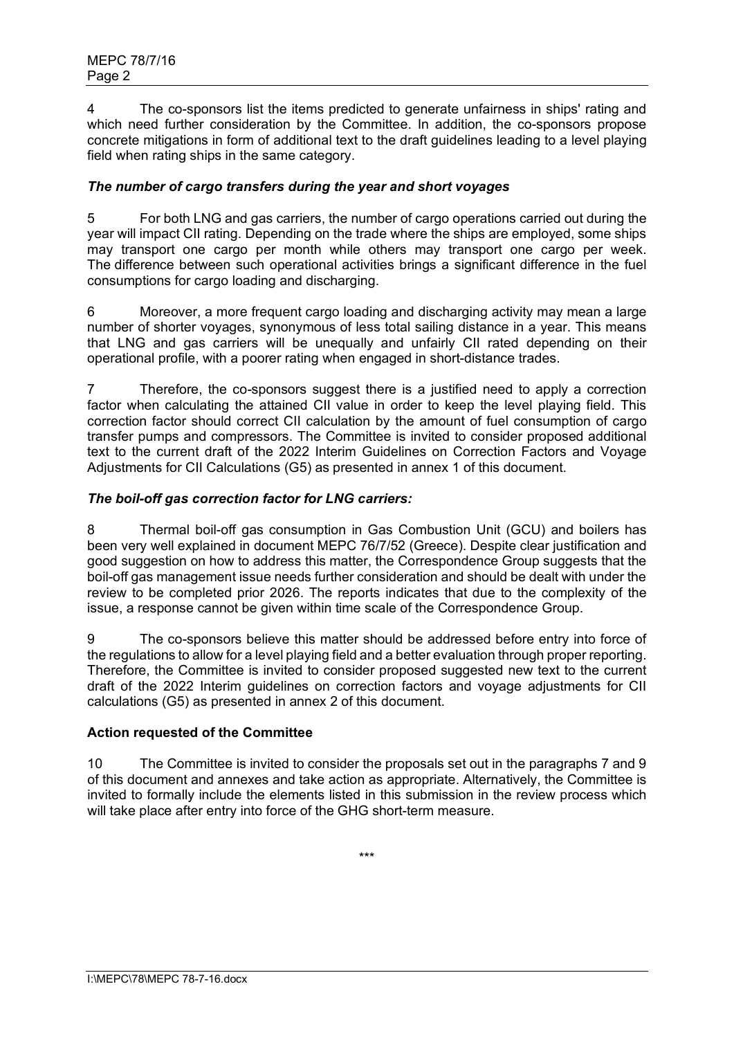4 The co-sponsors list the items predicted to generate unfairness in ships' rating and which need further consideration by the Committee. In addition, the co-sponsors propose concrete mitigations in form of additional text to the draft guidelines leading to a level playing field when rating ships in the same category.

# *The number of cargo transfers during the year and short voyages*

5 For both LNG and gas carriers, the number of cargo operations carried out during the year will impact CII rating. Depending on the trade where the ships are employed, some ships may transport one cargo per month while others may transport one cargo per week. The difference between such operational activities brings a significant difference in the fuel consumptions for cargo loading and discharging.

6 Moreover, a more frequent cargo loading and discharging activity may mean a large number of shorter voyages, synonymous of less total sailing distance in a year. This means that LNG and gas carriers will be unequally and unfairly CII rated depending on their operational profile, with a poorer rating when engaged in short-distance trades.

7 Therefore, the co-sponsors suggest there is a justified need to apply a correction factor when calculating the attained CII value in order to keep the level playing field. This correction factor should correct CII calculation by the amount of fuel consumption of cargo transfer pumps and compressors. The Committee is invited to consider proposed additional text to the current draft of the 2022 Interim Guidelines on Correction Factors and Voyage Adjustments for CII Calculations (G5) as presented in annex 1 of this document.

# *The boil-off gas correction factor for LNG carriers:*

8 Thermal boil-off gas consumption in Gas Combustion Unit (GCU) and boilers has been very well explained in document MEPC 76/7/52 (Greece). Despite clear justification and good suggestion on how to address this matter, the Correspondence Group suggests that the boil-off gas management issue needs further consideration and should be dealt with under the review to be completed prior 2026. The reports indicates that due to the complexity of the issue, a response cannot be given within time scale of the Correspondence Group.

9 The co-sponsors believe this matter should be addressed before entry into force of the regulations to allow for a level playing field and a better evaluation through proper reporting. Therefore, the Committee is invited to consider proposed suggested new text to the current draft of the 2022 Interim guidelines on correction factors and voyage adjustments for CII calculations (G5) as presented in annex 2 of this document.

# **Action requested of the Committee**

10 The Committee is invited to consider the proposals set out in the paragraphs 7 and 9 of this document and annexes and take action as appropriate. Alternatively, the Committee is invited to formally include the elements listed in this submission in the review process which will take place after entry into force of the GHG short-term measure.

\*\*\*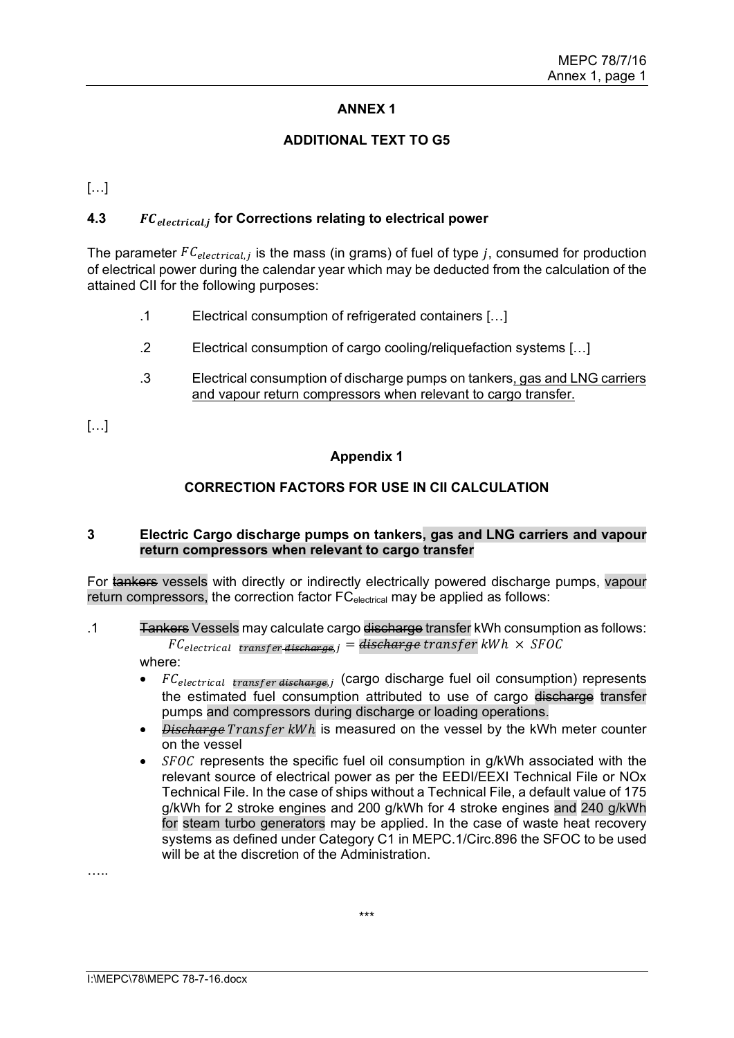# **ANNEX 1**

### **ADDITIONAL TEXT TO G5**

[…]

# **4.3** *FC*<sub>electrical, for Corrections relating to electrical power</sub>

The parameter  $FC_{electrical,j}$  is the mass (in grams) of fuel of type j, consumed for production of electrical power during the calendar year which may be deducted from the calculation of the attained CII for the following purposes:

- .1 Electrical consumption of refrigerated containers […]
- .2 Electrical consumption of cargo cooling/reliquefaction systems […]
- .3 Electrical consumption of discharge pumps on tankers, gas and LNG carriers and vapour return compressors when relevant to cargo transfer.

[…]

# **Appendix 1**

# **CORRECTION FACTORS FOR USE IN CII CALCULATION**

#### **3 Electric Cargo discharge pumps on tankers, gas and LNG carriers and vapour return compressors when relevant to cargo transfer**

For tankers vessels with directly or indirectly electrically powered discharge pumps, vapour return compressors, the correction factor FC<sub>electrical</sub> may be applied as follows:

- .1 Tankers Vessels may calculate cargo discharge transfer kWh consumption as follows:  $FC_{electrical\ transfer distance, i} = \text{discharge transfer}$  kWh  $\times$  SFOC where:
	- $FC_{electrical transfer distance, i}$  (cargo discharge fuel oil consumption) represents the estimated fuel consumption attributed to use of cargo discharge transfer pumps and compressors during discharge or loading operations.
	- *Discharge Transfer kWh* is measured on the vessel by the kWh meter counter on the vessel
	- $SFOC$  represents the specific fuel oil consumption in g/kWh associated with the relevant source of electrical power as per the EEDI/EEXI Technical File or NOx Technical File. In the case of ships without a Technical File, a default value of 175 g/kWh for 2 stroke engines and 200 g/kWh for 4 stroke engines and 240 g/kWh for steam turbo generators may be applied. In the case of waste heat recovery systems as defined under Category C1 in MEPC.1/Circ.896 the SFOC to be used will be at the discretion of the Administration.

……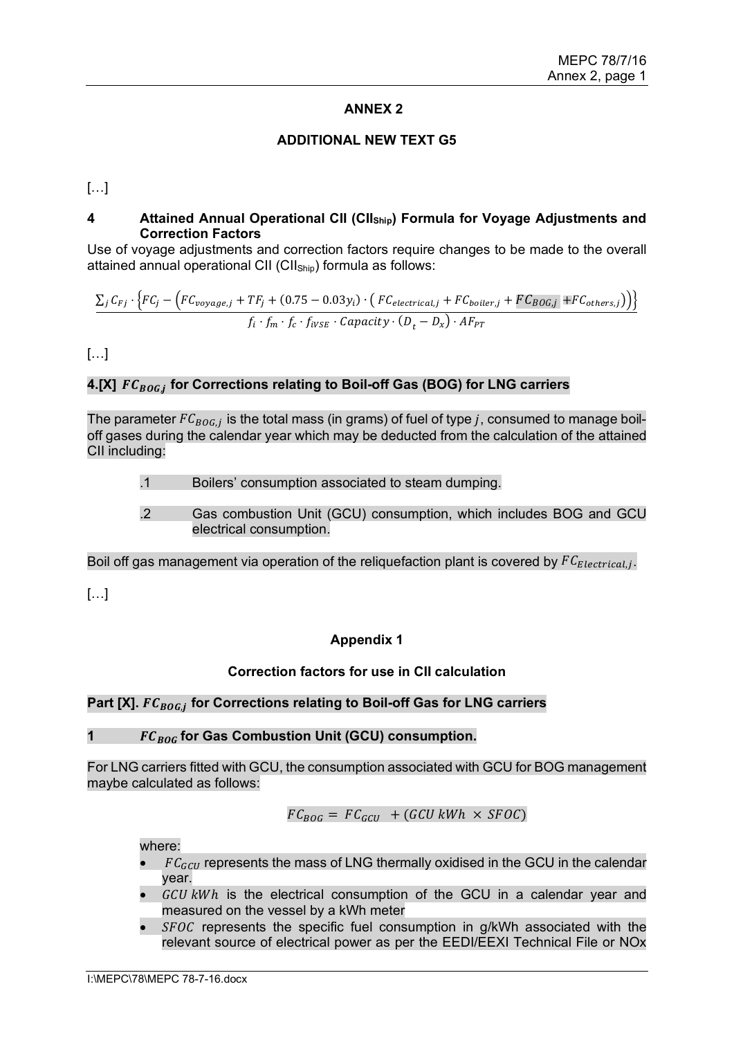### **ANNEX 2**

### **ADDITIONAL NEW TEXT G5**

[…]

## **4 Attained Annual Operational CII (CIIShip) Formula for Voyage Adjustments and Correction Factors**

Use of voyage adjustments and correction factors require changes to be made to the overall attained annual operational CII (CII<sub>Ship</sub>) formula as follows:

$$
\frac{\sum_{j} C_{Fj} \cdot \left\{ FC_{j} - \left( FC_{voyage,j} + TF_{j} + (0.75 - 0.03y_{i}) \cdot \left( FC_{electrical,j} + FC_{boiler,j} + FC_{BOG,j} + FC_{others,j} \right) \right) \right\}}{f_{i} \cdot f_{m} \cdot f_{c} \cdot f_{iVSE} \cdot Capacity \cdot (D_{t} - D_{x}) \cdot AF_{PT}}
$$

[…]

# 4.[X]  $FC_{BOG}$  for Corrections relating to Boil-off Gas (BOG) for LNG carriers

The parameter  $FC_{BOG,i}$  is the total mass (in grams) of fuel of type j, consumed to manage boiloff gases during the calendar year which may be deducted from the calculation of the attained CII including:

.1 Boilers' consumption associated to steam dumping.

.2 Gas combustion Unit (GCU) consumption, which includes BOG and GCU electrical consumption.

Boil off gas management via operation of the reliquefaction plant is covered by  $FC_{Electrical,j}$ .

[…]

# **Appendix 1**

# **Correction factors for use in CII calculation**

# Part [X].  $FC_{BOG,i}$  for Corrections relating to Boil-off Gas for LNG carriers

### **1 for Gas Combustion Unit (GCU) consumption.**

For LNG carriers fitted with GCU, the consumption associated with GCU for BOG management maybe calculated as follows:

$$
FC_{BOG} = FC_{GCU} + (GCU\ kWh \times SFOC)
$$

where:

- $FC_{GCU}$  represents the mass of LNG thermally oxidised in the GCU in the calendar year.
- $GCU kWh$  is the electrical consumption of the GCU in a calendar year and measured on the vessel by a kWh meter
- $SFOC$  represents the specific fuel consumption in  $g/kWh$  associated with the relevant source of electrical power as per the EEDI/EEXI Technical File or NOx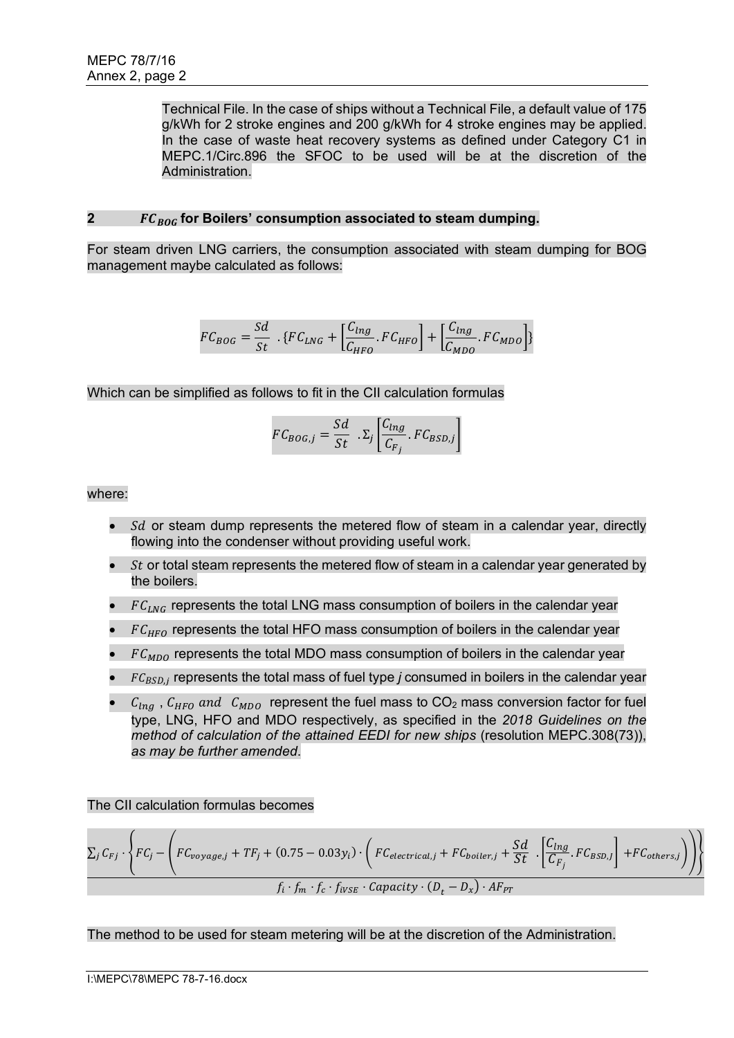Technical File. In the case of ships without a Technical File, a default value of 175 g/kWh for 2 stroke engines and 200 g/kWh for 4 stroke engines may be applied. In the case of waste heat recovery systems as defined under Category C1 in MEPC.1/Circ.896 the SFOC to be used will be at the discretion of the Administration.

# **2 b**  $FC_{BOG}$  for Boilers' consumption associated to steam dumping.

For steam driven LNG carriers, the consumption associated with steam dumping for BOG management maybe calculated as follows:

$$
FC_{BOG} = \frac{Sd}{St} \cdot \{ FC_{LNG} + \left[ \frac{C_{Ing}}{C_{HFO}} \cdot FC_{HFO} \right] + \left[ \frac{C_{Ing}}{C_{MDO}} \cdot FC_{MDO} \right] \}
$$

Which can be simplified as follows to fit in the CII calculation formulas

$$
FC_{BOG,j} = \frac{Sd}{St} . \Sigma_j \left[ \frac{C_{Ing}}{C_{F_j}} . FC_{BSD,j} \right]
$$

where:

- $Sd$  or steam dump represents the metered flow of steam in a calendar year, directly flowing into the condenser without providing useful work.
- $\bullet$  *St* or total steam represents the metered flow of steam in a calendar year generated by the boilers.
- $FC_{ING}$  represents the total LNG mass consumption of boilers in the calendar year
- $FC_{HFO}$  represents the total HFO mass consumption of boilers in the calendar year
- $FC_{MDO}$  represents the total MDO mass consumption of boilers in the calendar year
- $\bullet$   $FC_{BSD,i}$  represents the total mass of fuel type *j* consumed in boilers in the calendar year
- $C_{lnq}$ ,  $C_{HFO}$  and  $C_{MDO}$  represent the fuel mass to CO<sub>2</sub> mass conversion factor for fuel type, LNG, HFO and MDO respectively, as specified in the *2018 Guidelines on the method of calculation of the attained EEDI for new ships* (resolution MEPC.308(73)), *as may be further amended*.

The CII calculation formulas becomes

$$
\Sigma_j C_{Fj} \cdot \left\{ FC_j - \left( FC_{voyage,j} + TF_j + (0.75 - 0.03y_i) \cdot \left( FC_{electrical,j} + FC_{boiler,j} + \frac{Sd}{St} \cdot \left[ \frac{C_{Ing}}{C_{Fj}} \cdot FC_{BSD} \right] + FC_{others,j} \right) \right) \right\}
$$
  

$$
f_i \cdot f_m \cdot f_c \cdot f_{iVSE} \cdot Capacity \cdot (D_t - D_x) \cdot AF_{PT}
$$

The method to be used for steam metering will be at the discretion of the Administration.